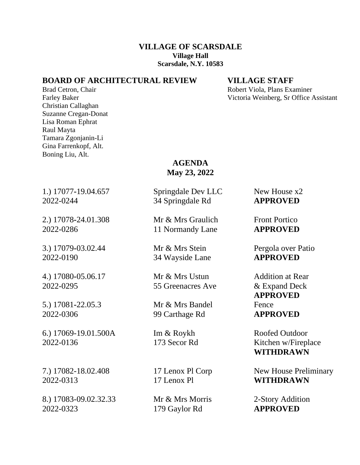## **VILLAGE OF SCARSDALE Village Hall Scarsdale, N.Y. 10583**

# **BOARD OF ARCHITECTURAL REVIEW VILLAGE STAFF**

Christian Callaghan Suzanne Cregan-Donat Lisa Roman Ephrat Raul Mayta Tamara Zgonjanin-Li Gina Farrenkopf, Alt. Boning Liu, Alt.

Brad Cetron, Chair **Robert Viola, Plans Examiner** Robert Viola, Plans Examiner Farley Baker Victoria Weinberg, Sr Office Assistant

> **AGENDA May 23, 2022**

1.) 17077**-**19.04.657 Springdale Dev LLC New House x2

2.) 17078**-**24.01.308 Mr & Mrs Graulich Front Portico 2022-0286 11 Normandy Lane **APPROVED**

3.) 17079**-**03.02.44 Mr & Mrs Stein Pergola over Patio 2022-0190 34 Wayside Lane **APPROVED**

4.) 17080**-**05.06.17 Mr & Mrs Ustun Addition at Rear 2022-0295 55 Greenacres Ave & Expand Deck

5.) 17081**-**22.05.3 Mr & Mrs Bandel Fence

6.) 17069-19.01.500A Im & Roykh Roofed Outdoor 2022-0136 173 Secor Rd Kitchen w/Fireplace

2022-0313 17 Lenox Pl **WITHDRAWN**

8.) 17083-09.02.32.33 Mr & Mrs Morris 2-Story Addition 2022-0323 179 Gaylor Rd **APPROVED**

2022-0244 34 Springdale Rd **APPROVED**

2022-0306 99 Carthage Rd **APPROVED**

**APPROVED**

**WITHDRAWN**

7.) 17082-18.02.408 17 Lenox Pl Corp New House Preliminary